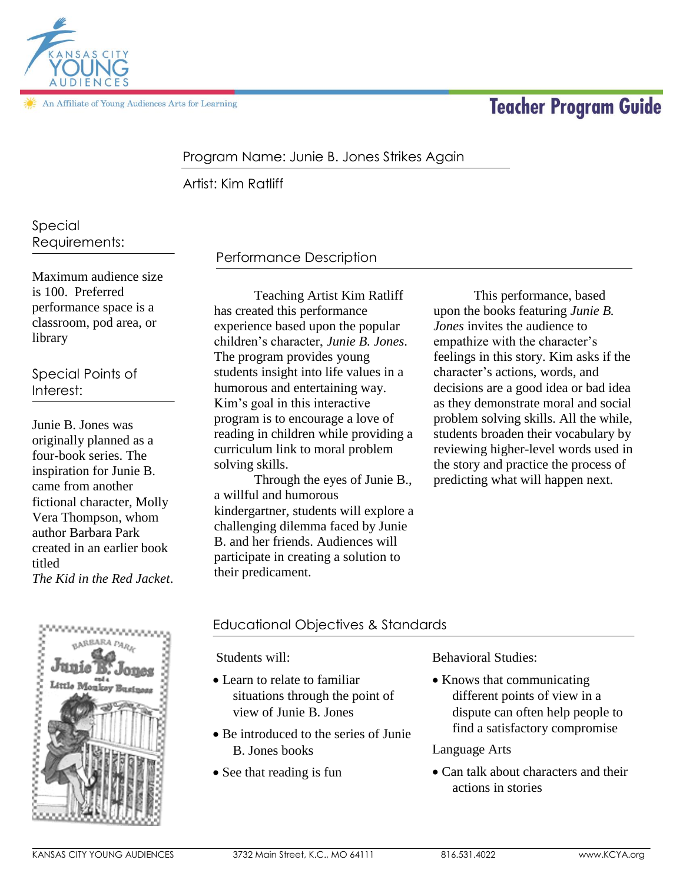

An Affiliate of Young Audiences Arts for Learning

# **Teacher Program Guide**

## Program Name: Junie B. Jones Strikes Again

Artist: Kim Ratliff

# Special Requirements:

Maximum audience size is 100. Preferred performance space is a classroom, pod area, or library

Special Points of Interest:

Junie B. Jones was originally planned as a four-book series. The inspiration for Junie B. came from another fictional character, Molly Vera Thompson, whom author Barbara Park created in an earlier book titled *The Kid in the Red Jacket*.

# Performance Description

Teaching Artist Kim Ratliff has created this performance experience based upon the popular children's character, *Junie B. Jones*. The program provides young students insight into life values in a humorous and entertaining way. Kim's goal in this interactive program is to encourage a love of reading in children while providing a curriculum link to moral problem solving skills.

Through the eyes of Junie B., a willful and humorous kindergartner, students will explore a challenging dilemma faced by Junie B. and her friends. Audiences will participate in creating a solution to their predicament.

This performance, based upon the books featuring *Junie B. Jones* invites the audience to empathize with the character's feelings in this story. Kim asks if the character's actions, words, and decisions are a good idea or bad idea as they demonstrate moral and social problem solving skills. All the while, students broaden their vocabulary by reviewing higher-level words used in the story and practice the process of predicting what will happen next.



### Educational Objectives & Standards

Students will:

- Learn to relate to familiar situations through the point of view of Junie B. Jones
- Be introduced to the series of Junie B. Jones books
- See that reading is fun

Behavioral Studies:

• Knows that communicating different points of view in a dispute can often help people to find a satisfactory compromise

#### Language Arts

• Can talk about characters and their actions in stories